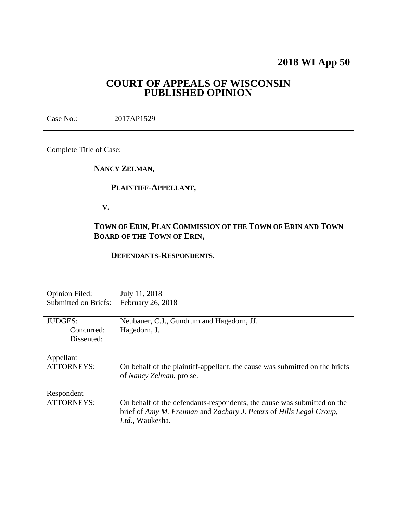# **2018 WI App 50**

## **COURT OF APPEALS OF WISCONSIN PUBLISHED OPINION**

Case No.: 2017AP1529

Complete Title of Case:

**NANCY ZELMAN,**

### **PLAINTIFF-APPELLANT,**

 **V.**

# **TOWN OF ERIN, PLAN COMMISSION OF THE TOWN OF ERIN AND TOWN BOARD OF THE TOWN OF ERIN,**

### **DEFENDANTS-RESPONDENTS.**

| <b>Opinion Filed:</b><br><b>Submitted on Briefs:</b> | July 11, 2018<br>February 26, 2018                                                                      |
|------------------------------------------------------|---------------------------------------------------------------------------------------------------------|
|                                                      |                                                                                                         |
| <b>JUDGES:</b>                                       | Neubauer, C.J., Gundrum and Hagedorn, JJ.                                                               |
| Concurred:                                           | Hagedorn, J.                                                                                            |
| Dissented:                                           |                                                                                                         |
|                                                      |                                                                                                         |
| Appellant                                            |                                                                                                         |
| <b>ATTORNEYS:</b>                                    | On behalf of the plaintiff-appellant, the cause was submitted on the briefs<br>of Nancy Zelman, pro se. |
| Respondent                                           |                                                                                                         |
| <b>ATTORNEYS:</b>                                    | On behalf of the defendants-respondents, the cause was submitted on the                                 |
|                                                      | brief of Amy M. Freiman and Zachary J. Peters of Hills Legal Group,<br>Ltd., Waukesha.                  |
|                                                      |                                                                                                         |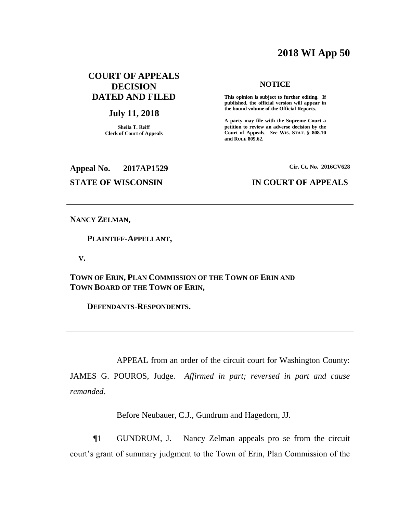# **2018 WI App 50**

### **COURT OF APPEALS DECISION DATED AND FILED**

### **July 11, 2018**

**Sheila T. Reiff Clerk of Court of Appeals**

### **NOTICE**

**This opinion is subject to further editing. If published, the official version will appear in the bound volume of the Official Reports.** 

**A party may file with the Supreme Court a petition to review an adverse decision by the Court of Appeals.** *See* **WIS. STAT. § 808.10 and RULE 809.62.** 

# **Appeal No. 2017AP1529 Cir. Ct. No. 2016CV628**

### **STATE OF WISCONSIN IN COURT OF APPEALS**

### **NANCY ZELMAN,**

 **PLAINTIFF-APPELLANT,**

 **V.**

**TOWN OF ERIN, PLAN COMMISSION OF THE TOWN OF ERIN AND TOWN BOARD OF THE TOWN OF ERIN,**

 **DEFENDANTS-RESPONDENTS.**

APPEAL from an order of the circuit court for Washington County: JAMES G. POUROS, Judge. *Affirmed in part; reversed in part and cause remanded*.

Before Neubauer, C.J., Gundrum and Hagedorn, JJ.

¶1 GUNDRUM, J. Nancy Zelman appeals pro se from the circuit court's grant of summary judgment to the Town of Erin, Plan Commission of the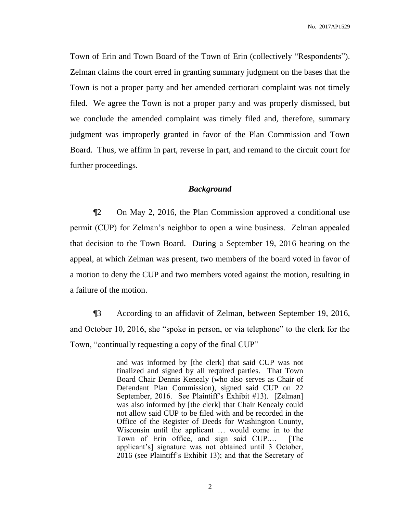No. 2017AP1529

Town of Erin and Town Board of the Town of Erin (collectively "Respondents"). Zelman claims the court erred in granting summary judgment on the bases that the Town is not a proper party and her amended certiorari complaint was not timely filed. We agree the Town is not a proper party and was properly dismissed, but we conclude the amended complaint was timely filed and, therefore, summary judgment was improperly granted in favor of the Plan Commission and Town Board. Thus, we affirm in part, reverse in part, and remand to the circuit court for further proceedings.

### *Background*

¶2 On May 2, 2016, the Plan Commission approved a conditional use permit (CUP) for Zelman's neighbor to open a wine business. Zelman appealed that decision to the Town Board. During a September 19, 2016 hearing on the appeal, at which Zelman was present, two members of the board voted in favor of a motion to deny the CUP and two members voted against the motion, resulting in a failure of the motion.

¶3 According to an affidavit of Zelman, between September 19, 2016, and October 10, 2016, she "spoke in person, or via telephone" to the clerk for the Town, "continually requesting a copy of the final CUP"

> and was informed by [the clerk] that said CUP was not finalized and signed by all required parties. That Town Board Chair Dennis Kenealy (who also serves as Chair of Defendant Plan Commission), signed said CUP on 22 September, 2016. See Plaintiff's Exhibit #13). [Zelman] was also informed by [the clerk] that Chair Kenealy could not allow said CUP to be filed with and be recorded in the Office of the Register of Deeds for Washington County, Wisconsin until the applicant … would come in to the Town of Erin office, and sign said CUP.… [The applicant's] signature was not obtained until 3 October, 2016 (see Plaintiff's Exhibit 13); and that the Secretary of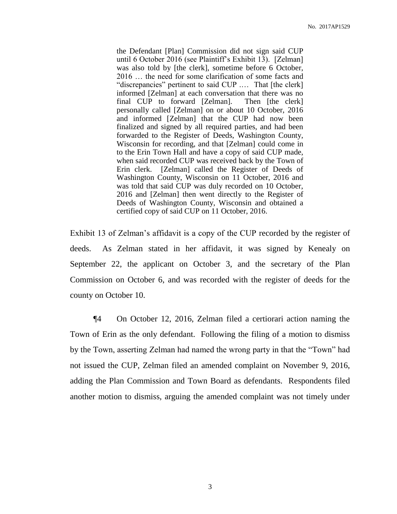the Defendant [Plan] Commission did not sign said CUP until 6 October 2016 (see Plaintiff's Exhibit 13). [Zelman] was also told by [the clerk], sometime before 6 October, 2016 … the need for some clarification of some facts and "discrepancies" pertinent to said CUP .… That [the clerk] informed [Zelman] at each conversation that there was no final CUP to forward [Zelman]. Then [the clerk] personally called [Zelman] on or about 10 October, 2016 and informed [Zelman] that the CUP had now been finalized and signed by all required parties, and had been forwarded to the Register of Deeds, Washington County, Wisconsin for recording, and that [Zelman] could come in to the Erin Town Hall and have a copy of said CUP made, when said recorded CUP was received back by the Town of Erin clerk. [Zelman] called the Register of Deeds of Washington County, Wisconsin on 11 October, 2016 and was told that said CUP was duly recorded on 10 October, 2016 and [Zelman] then went directly to the Register of Deeds of Washington County, Wisconsin and obtained a certified copy of said CUP on 11 October, 2016.

Exhibit 13 of Zelman's affidavit is a copy of the CUP recorded by the register of deeds. As Zelman stated in her affidavit, it was signed by Kenealy on September 22, the applicant on October 3, and the secretary of the Plan Commission on October 6, and was recorded with the register of deeds for the county on October 10.

¶4 On October 12, 2016, Zelman filed a certiorari action naming the Town of Erin as the only defendant. Following the filing of a motion to dismiss by the Town, asserting Zelman had named the wrong party in that the "Town" had not issued the CUP, Zelman filed an amended complaint on November 9, 2016, adding the Plan Commission and Town Board as defendants. Respondents filed another motion to dismiss, arguing the amended complaint was not timely under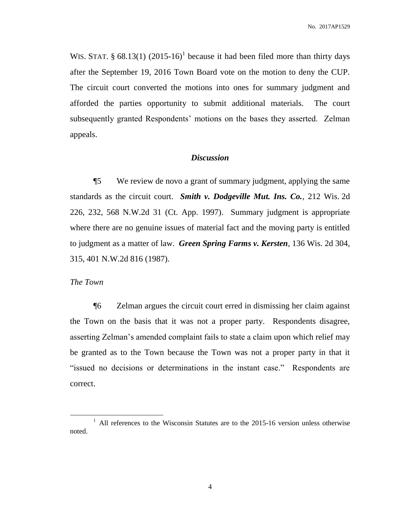WIS. STAT.  $\S$  68.13(1) (2015-16)<sup>1</sup> because it had been filed more than thirty days after the September 19, 2016 Town Board vote on the motion to deny the CUP. The circuit court converted the motions into ones for summary judgment and afforded the parties opportunity to submit additional materials. The court subsequently granted Respondents' motions on the bases they asserted. Zelman appeals.

### *Discussion*

¶5 We review de novo a grant of summary judgment, applying the same standards as the circuit court. *Smith v. Dodgeville Mut. Ins. Co.*, 212 Wis. 2d 226, 232, 568 N.W.2d 31 (Ct. App. 1997). Summary judgment is appropriate where there are no genuine issues of material fact and the moving party is entitled to judgment as a matter of law. *Green Spring Farms v. Kersten*, 136 Wis. 2d 304, 315, 401 N.W.2d 816 (1987).

### *The Town*

 $\overline{a}$ 

¶6 Zelman argues the circuit court erred in dismissing her claim against the Town on the basis that it was not a proper party. Respondents disagree, asserting Zelman's amended complaint fails to state a claim upon which relief may be granted as to the Town because the Town was not a proper party in that it "issued no decisions or determinations in the instant case." Respondents are correct.

<sup>&</sup>lt;sup>1</sup> All references to the Wisconsin Statutes are to the 2015-16 version unless otherwise noted.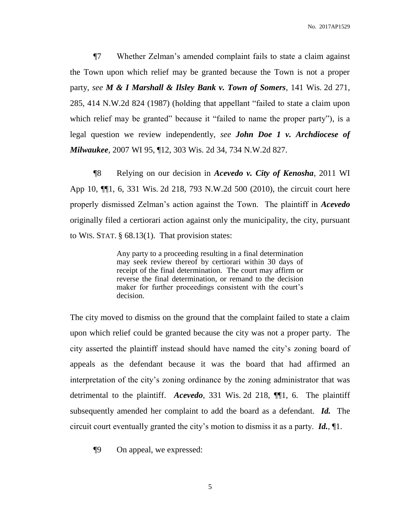¶7 Whether Zelman's amended complaint fails to state a claim against the Town upon which relief may be granted because the Town is not a proper party, *see M & I Marshall & Ilsley Bank v. Town of Somers*, 141 Wis. 2d 271, 285, 414 N.W.2d 824 (1987) (holding that appellant "failed to state a claim upon which relief may be granted" because it "failed to name the proper party"), is a legal question we review independently, *see John Doe 1 v. Archdiocese of Milwaukee*, 2007 WI 95, ¶12, 303 Wis. 2d 34, 734 N.W.2d 827.

¶8 Relying on our decision in *Acevedo v. City of Kenosha*, 2011 WI App 10, ¶¶1, 6, 331 Wis. 2d 218, 793 N.W.2d 500 (2010), the circuit court here properly dismissed Zelman's action against the Town. The plaintiff in *Acevedo* originally filed a certiorari action against only the municipality, the city, pursuant to WIS. STAT. § 68.13(1). That provision states:

> Any party to a proceeding resulting in a final determination may seek review thereof by certiorari within 30 days of receipt of the final determination. The court may affirm or reverse the final determination, or remand to the decision maker for further proceedings consistent with the court's decision.

The city moved to dismiss on the ground that the complaint failed to state a claim upon which relief could be granted because the city was not a proper party. The city asserted the plaintiff instead should have named the city's zoning board of appeals as the defendant because it was the board that had affirmed an interpretation of the city's zoning ordinance by the zoning administrator that was detrimental to the plaintiff. *Acevedo*, 331 Wis. 2d 218, ¶¶1, 6. The plaintiff subsequently amended her complaint to add the board as a defendant. *Id.* The circuit court eventually granted the city's motion to dismiss it as a party. *Id.*, ¶1.

¶9 On appeal, we expressed: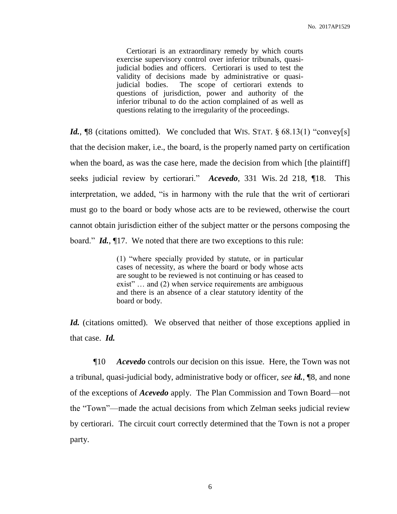Certiorari is an extraordinary remedy by which courts exercise supervisory control over inferior tribunals, quasijudicial bodies and officers. Certiorari is used to test the validity of decisions made by administrative or quasijudicial bodies. The scope of certiorari extends to questions of jurisdiction, power and authority of the inferior tribunal to do the action complained of as well as questions relating to the irregularity of the proceedings.

*Id.*, <sup>[8]</sup> (citations omitted). We concluded that WIS. STAT. § 68.13(1) "convey[s] that the decision maker, i.e., the board, is the properly named party on certification when the board, as was the case here, made the decision from which [the plaintiff] seeks judicial review by certiorari." *Acevedo*, 331 Wis. 2d 218, ¶18. This interpretation, we added, "is in harmony with the rule that the writ of certiorari must go to the board or body whose acts are to be reviewed, otherwise the court cannot obtain jurisdiction either of the subject matter or the persons composing the board." *Id.*, ¶17. We noted that there are two exceptions to this rule:

> (1) "where specially provided by statute, or in particular cases of necessity, as where the board or body whose acts are sought to be reviewed is not continuing or has ceased to exist" ... and (2) when service requirements are ambiguous and there is an absence of a clear statutory identity of the board or body.

*Id.* (citations omitted). We observed that neither of those exceptions applied in that case. *Id.*

¶10 *Acevedo* controls our decision on this issue. Here, the Town was not a tribunal, quasi-judicial body, administrative body or officer, *see id.*, ¶8, and none of the exceptions of *Acevedo* apply. The Plan Commission and Town Board—not the "Town"—made the actual decisions from which Zelman seeks judicial review by certiorari. The circuit court correctly determined that the Town is not a proper party.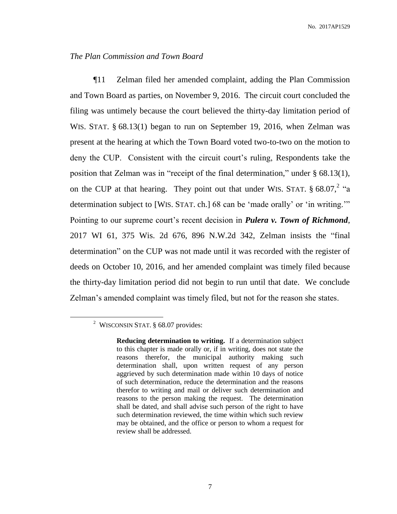### *The Plan Commission and Town Board*

¶11 Zelman filed her amended complaint, adding the Plan Commission and Town Board as parties, on November 9, 2016. The circuit court concluded the filing was untimely because the court believed the thirty-day limitation period of WIS. STAT. § 68.13(1) began to run on September 19, 2016, when Zelman was present at the hearing at which the Town Board voted two-to-two on the motion to deny the CUP. Consistent with the circuit court's ruling, Respondents take the position that Zelman was in "receipt of the final determination," under § 68.13(1), on the CUP at that hearing. They point out that under WIS. STAT.  $\S 68.07$ ,  $2 \text{``a}$ determination subject to [WIS. STAT. ch.] 68 can be 'made orally' or 'in writing.'" Pointing to our supreme court's recent decision in *Pulera v. Town of Richmond*, 2017 WI 61, 375 Wis. 2d 676, 896 N.W.2d 342, Zelman insists the "final determination" on the CUP was not made until it was recorded with the register of deeds on October 10, 2016, and her amended complaint was timely filed because the thirty-day limitation period did not begin to run until that date. We conclude Zelman's amended complaint was timely filed, but not for the reason she states.

 $\overline{a}$ 

<sup>&</sup>lt;sup>2</sup> WISCONSIN STAT.  $§$  68.07 provides:

**Reducing determination to writing.** If a determination subject to this chapter is made orally or, if in writing, does not state the reasons therefor, the municipal authority making such determination shall, upon written request of any person aggrieved by such determination made within 10 days of notice of such determination, reduce the determination and the reasons therefor to writing and mail or deliver such determination and reasons to the person making the request. The determination shall be dated, and shall advise such person of the right to have such determination reviewed, the time within which such review may be obtained, and the office or person to whom a request for review shall be addressed.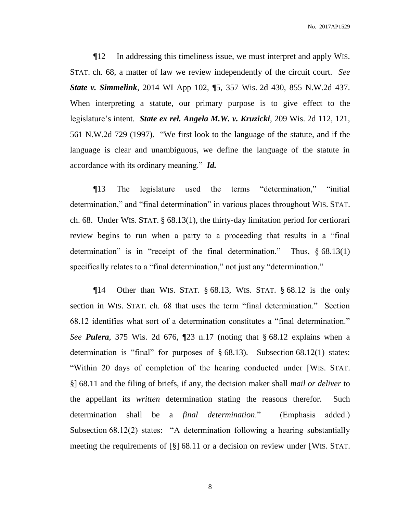No. 2017AP1529

¶12 In addressing this timeliness issue, we must interpret and apply WIS. STAT. ch. 68, a matter of law we review independently of the circuit court. *See State v. Simmelink*, 2014 WI App 102, ¶5, 357 Wis. 2d 430, 855 N.W.2d 437. When interpreting a statute, our primary purpose is to give effect to the legislature's intent. *State ex rel. Angela M.W. v. Kruzicki*, 209 Wis. 2d 112, 121, 561 N.W.2d 729 (1997). "We first look to the language of the statute, and if the language is clear and unambiguous, we define the language of the statute in accordance with its ordinary meaning." *Id.*

¶13 The legislature used the terms "determination," "initial determination," and "final determination" in various places throughout WIS. STAT. ch. 68. Under WIS. STAT. § 68.13(1), the thirty-day limitation period for certiorari review begins to run when a party to a proceeding that results in a "final determination" is in "receipt of the final determination." Thus, § 68.13(1) specifically relates to a "final determination," not just any "determination."

¶14 Other than WIS. STAT. § 68.13, WIS. STAT. § 68.12 is the only section in WIS. STAT. ch. 68 that uses the term "final determination." Section 68.12 identifies what sort of a determination constitutes a "final determination." *See Pulera*, 375 Wis. 2d 676, ¶23 n.17 (noting that § 68.12 explains when a determination is "final" for purposes of § 68.13). Subsection 68.12(1) states: "Within 20 days of completion of the hearing conducted under [WIS. STAT. §] 68.11 and the filing of briefs, if any, the decision maker shall *mail or deliver* to the appellant its *written* determination stating the reasons therefor. Such determination shall be a *final determination*." (Emphasis added.) Subsection 68.12(2) states: "A determination following a hearing substantially meeting the requirements of [§] 68.11 or a decision on review under [WIS. STAT.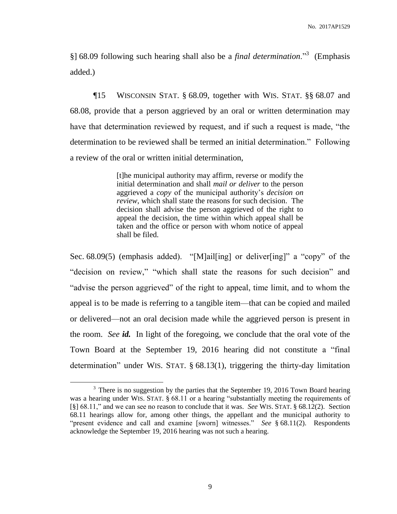§] 68.09 following such hearing shall also be a *final determination*."<sup>3</sup> (Emphasis added.)

¶15 WISCONSIN STAT. § 68.09, together with WIS. STAT. §§ 68.07 and 68.08, provide that a person aggrieved by an oral or written determination may have that determination reviewed by request, and if such a request is made, "the determination to be reviewed shall be termed an initial determination." Following a review of the oral or written initial determination,

> [t]he municipal authority may affirm, reverse or modify the initial determination and shall *mail or deliver* to the person aggrieved a *copy* of the municipal authority's *decision on review*, which shall state the reasons for such decision. The decision shall advise the person aggrieved of the right to appeal the decision, the time within which appeal shall be taken and the office or person with whom notice of appeal shall be filed.

Sec. 68.09(5) (emphasis added). "[M]ail[ing] or deliver[ing]" a "copy" of the "decision on review," "which shall state the reasons for such decision" and "advise the person aggrieved" of the right to appeal, time limit, and to whom the appeal is to be made is referring to a tangible item—that can be copied and mailed or delivered—not an oral decision made while the aggrieved person is present in the room. *See id.* In light of the foregoing, we conclude that the oral vote of the Town Board at the September 19, 2016 hearing did not constitute a "final determination" under WIS. STAT. § 68.13(1), triggering the thirty-day limitation

 $\overline{a}$ 

 $3$  There is no suggestion by the parties that the September 19, 2016 Town Board hearing was a hearing under WIS. STAT. § 68.11 or a hearing "substantially meeting the requirements of [§] 68.11," and we can see no reason to conclude that it was. *See* WIS. STAT. § 68.12(2). Section 68.11 hearings allow for, among other things, the appellant and the municipal authority to "present evidence and call and examine [sworn] witnesses." *See* § 68.11(2). Respondents acknowledge the September 19, 2016 hearing was not such a hearing.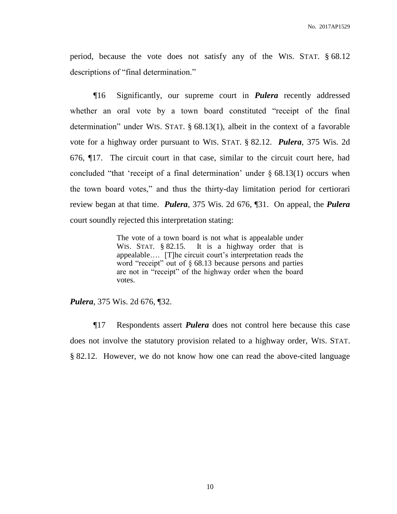period, because the vote does not satisfy any of the WIS. STAT. § 68.12 descriptions of "final determination."

¶16 Significantly, our supreme court in *Pulera* recently addressed whether an oral vote by a town board constituted "receipt of the final determination" under WIS. STAT. § 68.13(1), albeit in the context of a favorable vote for a highway order pursuant to WIS. STAT. § 82.12. *Pulera*, 375 Wis. 2d 676, ¶17. The circuit court in that case, similar to the circuit court here, had concluded "that 'receipt of a final determination' under  $\S$  68.13(1) occurs when the town board votes," and thus the thirty-day limitation period for certiorari review began at that time. *Pulera*, 375 Wis. 2d 676, ¶31. On appeal, the *Pulera* court soundly rejected this interpretation stating:

> The vote of a town board is not what is appealable under WIS. STAT. § 82.15. It is a highway order that is appealable…. [T]he circuit court's interpretation reads the word "receipt" out of § 68.13 because persons and parties are not in "receipt" of the highway order when the board votes.

*Pulera*, 375 Wis. 2d 676, ¶32.

¶17 Respondents assert *Pulera* does not control here because this case does not involve the statutory provision related to a highway order, WIS. STAT. § 82.12. However, we do not know how one can read the above-cited language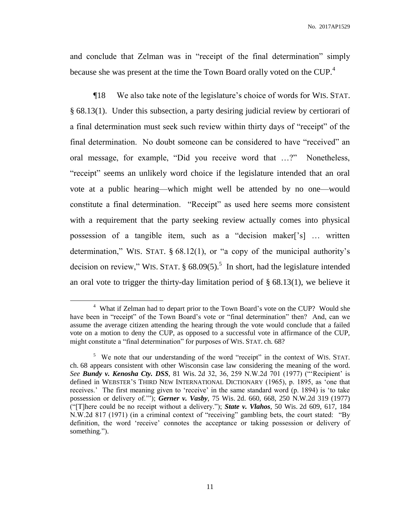and conclude that Zelman was in "receipt of the final determination" simply because she was present at the time the Town Board orally voted on the CUP.<sup>4</sup>

¶18 We also take note of the legislature's choice of words for WIS. STAT. § 68.13(1). Under this subsection, a party desiring judicial review by certiorari of a final determination must seek such review within thirty days of "receipt" of the final determination. No doubt someone can be considered to have "received" an oral message, for example, "Did you receive word that …?" Nonetheless, "receipt" seems an unlikely word choice if the legislature intended that an oral vote at a public hearing—which might well be attended by no one—would constitute a final determination. "Receipt" as used here seems more consistent with a requirement that the party seeking review actually comes into physical possession of a tangible item, such as a "decision maker['s] … written determination," WIS. STAT. § 68.12(1), or "a copy of the municipal authority's decision on review," WIS. STAT.  $\S 68.09(5)$ .<sup>5</sup> In short, had the legislature intended an oral vote to trigger the thirty-day limitation period of  $\S$  68.13(1), we believe it

 $\overline{a}$ 

<sup>&</sup>lt;sup>4</sup> What if Zelman had to depart prior to the Town Board's vote on the CUP? Would she have been in "receipt" of the Town Board's vote or "final determination" then? And, can we assume the average citizen attending the hearing through the vote would conclude that a failed vote on a motion to deny the CUP, as opposed to a successful vote in affirmance of the CUP, might constitute a "final determination" for purposes of WIS. STAT. ch. 68?

<sup>&</sup>lt;sup>5</sup> We note that our understanding of the word "receipt" in the context of WIS. STAT. ch. 68 appears consistent with other Wisconsin case law considering the meaning of the word. *See Bundy v. Kenosha Cty. DSS*, 81 Wis. 2d 32, 36, 259 N.W.2d 701 (1977) ("'Recipient' is defined in WEBSTER'S THIRD NEW INTERNATIONAL DICTIONARY (1965), p. 1895, as 'one that receives.' The first meaning given to 'receive' in the same standard word (p. 1894) is 'to take possession or delivery of.'"); *Gerner v. Vasby*, 75 Wis. 2d. 660, 668, 250 N.W.2d 319 (1977) ("[T]here could be no receipt without a delivery."); *State v. Vlahos*, 50 Wis. 2d 609, 617, 184 N.W.2d 817 (1971) (in a criminal context of "receiving" gambling bets, the court stated: "By definition, the word 'receive' connotes the acceptance or taking possession or delivery of something.").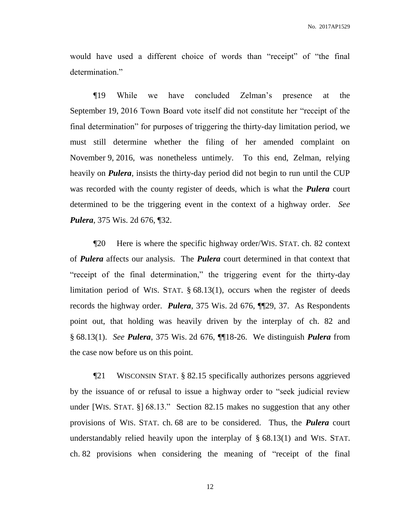would have used a different choice of words than "receipt" of "the final determination."

¶19 While we have concluded Zelman's presence at the September 19, 2016 Town Board vote itself did not constitute her "receipt of the final determination" for purposes of triggering the thirty-day limitation period, we must still determine whether the filing of her amended complaint on November 9, 2016, was nonetheless untimely. To this end, Zelman, relying heavily on *Pulera*, insists the thirty-day period did not begin to run until the CUP was recorded with the county register of deeds, which is what the *Pulera* court determined to be the triggering event in the context of a highway order. *See Pulera*, 375 Wis. 2d 676, ¶32.

¶20 Here is where the specific highway order/WIS. STAT. ch. 82 context of *Pulera* affects our analysis. The *Pulera* court determined in that context that "receipt of the final determination," the triggering event for the thirty-day limitation period of WIS. STAT. § 68.13(1), occurs when the register of deeds records the highway order. *Pulera*, 375 Wis. 2d 676, ¶¶29, 37. As Respondents point out, that holding was heavily driven by the interplay of ch. 82 and § 68.13(1). *See Pulera*, 375 Wis. 2d 676, ¶¶18-26. We distinguish *Pulera* from the case now before us on this point.

¶21 WISCONSIN STAT. § 82.15 specifically authorizes persons aggrieved by the issuance of or refusal to issue a highway order to "seek judicial review under [WIS. STAT. §] 68.13." Section 82.15 makes no suggestion that any other provisions of WIS. STAT. ch. 68 are to be considered. Thus, the *Pulera* court understandably relied heavily upon the interplay of § 68.13(1) and WIS. STAT. ch. 82 provisions when considering the meaning of "receipt of the final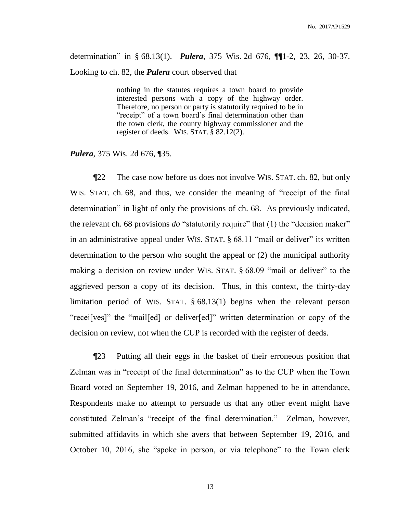determination" in § 68.13(1). *Pulera*, 375 Wis. 2d 676, ¶¶1-2, 23, 26, 30-37. Looking to ch. 82, the *Pulera* court observed that

> nothing in the statutes requires a town board to provide interested persons with a copy of the highway order. Therefore, no person or party is statutorily required to be in "receipt" of a town board's final determination other than the town clerk, the county highway commissioner and the register of deeds. WIS. STAT. § 82.12(2).

*Pulera*, 375 Wis. 2d 676, ¶35.

¶22 The case now before us does not involve WIS. STAT. ch. 82, but only WIS. STAT. ch. 68, and thus, we consider the meaning of "receipt of the final determination" in light of only the provisions of ch. 68. As previously indicated, the relevant ch. 68 provisions *do* "statutorily require" that (1) the "decision maker" in an administrative appeal under WIS. STAT. § 68.11 "mail or deliver" its written determination to the person who sought the appeal or (2) the municipal authority making a decision on review under WIS. STAT. § 68.09 "mail or deliver" to the aggrieved person a copy of its decision. Thus, in this context, the thirty-day limitation period of WIS. STAT. § 68.13(1) begins when the relevant person "recei[ves]" the "mail[ed] or deliver[ed]" written determination or copy of the decision on review, not when the CUP is recorded with the register of deeds.

¶23 Putting all their eggs in the basket of their erroneous position that Zelman was in "receipt of the final determination" as to the CUP when the Town Board voted on September 19, 2016, and Zelman happened to be in attendance, Respondents make no attempt to persuade us that any other event might have constituted Zelman's "receipt of the final determination." Zelman, however, submitted affidavits in which she avers that between September 19, 2016, and October 10, 2016, she "spoke in person, or via telephone" to the Town clerk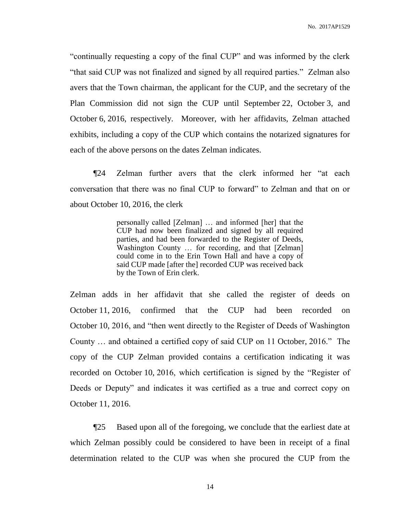"continually requesting a copy of the final CUP" and was informed by the clerk "that said CUP was not finalized and signed by all required parties." Zelman also avers that the Town chairman, the applicant for the CUP, and the secretary of the Plan Commission did not sign the CUP until September 22, October 3, and October 6, 2016, respectively. Moreover, with her affidavits, Zelman attached exhibits, including a copy of the CUP which contains the notarized signatures for each of the above persons on the dates Zelman indicates.

¶24 Zelman further avers that the clerk informed her "at each conversation that there was no final CUP to forward" to Zelman and that on or about October 10, 2016, the clerk

> personally called [Zelman] … and informed [her] that the CUP had now been finalized and signed by all required parties, and had been forwarded to the Register of Deeds, Washington County ... for recording, and that [Zelman] could come in to the Erin Town Hall and have a copy of said CUP made [after the] recorded CUP was received back by the Town of Erin clerk.

Zelman adds in her affidavit that she called the register of deeds on October 11, 2016, confirmed that the CUP had been recorded on October 10, 2016, and "then went directly to the Register of Deeds of Washington County … and obtained a certified copy of said CUP on 11 October, 2016." The copy of the CUP Zelman provided contains a certification indicating it was recorded on October 10, 2016, which certification is signed by the "Register of Deeds or Deputy" and indicates it was certified as a true and correct copy on October 11, 2016.

¶25 Based upon all of the foregoing, we conclude that the earliest date at which Zelman possibly could be considered to have been in receipt of a final determination related to the CUP was when she procured the CUP from the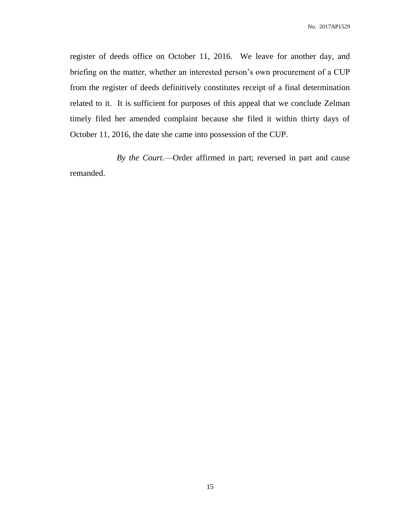register of deeds office on October 11, 2016. We leave for another day, and briefing on the matter, whether an interested person's own procurement of a CUP from the register of deeds definitively constitutes receipt of a final determination related to it. It is sufficient for purposes of this appeal that we conclude Zelman timely filed her amended complaint because she filed it within thirty days of October 11, 2016, the date she came into possession of the CUP.

*By the Court.*—Order affirmed in part; reversed in part and cause remanded.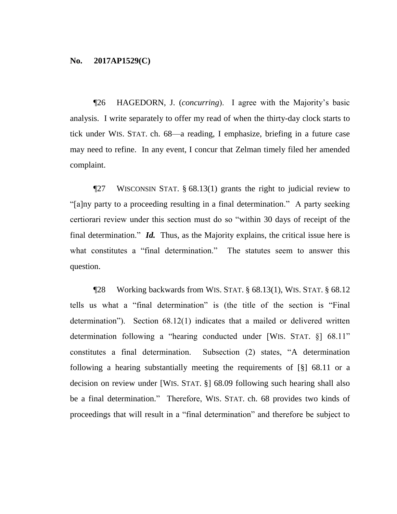¶26 HAGEDORN, J. (*concurring*). I agree with the Majority's basic analysis. I write separately to offer my read of when the thirty-day clock starts to tick under WIS. STAT. ch. 68—a reading, I emphasize, briefing in a future case may need to refine. In any event, I concur that Zelman timely filed her amended complaint.

¶27 WISCONSIN STAT. § 68.13(1) grants the right to judicial review to "[a]ny party to a proceeding resulting in a final determination." A party seeking certiorari review under this section must do so "within 30 days of receipt of the final determination." *Id.* Thus, as the Majority explains, the critical issue here is what constitutes a "final determination." The statutes seem to answer this question.

¶28 Working backwards from WIS. STAT. § 68.13(1), WIS. STAT. § 68.12 tells us what a "final determination" is (the title of the section is "Final determination"). Section 68.12(1) indicates that a mailed or delivered written determination following a "hearing conducted under [WIS. STAT. §] 68.11" constitutes a final determination. Subsection (2) states, "A determination following a hearing substantially meeting the requirements of [§] 68.11 or a decision on review under [WIS. STAT. §] 68.09 following such hearing shall also be a final determination." Therefore, WIS. STAT. ch. 68 provides two kinds of proceedings that will result in a "final determination" and therefore be subject to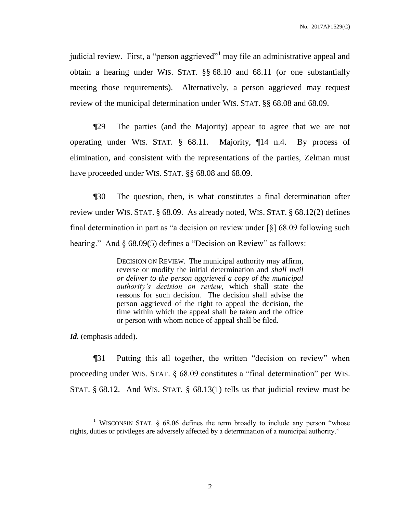judicial review. First, a "person aggrieved"<sup>1</sup> may file an administrative appeal and obtain a hearing under WIS. STAT. §§ 68.10 and 68.11 (or one substantially meeting those requirements). Alternatively, a person aggrieved may request review of the municipal determination under WIS. STAT. §§ 68.08 and 68.09.

¶29 The parties (and the Majority) appear to agree that we are not operating under WIS. STAT. § 68.11. Majority, ¶14 n.4. By process of elimination, and consistent with the representations of the parties, Zelman must have proceeded under WIS. STAT. §§ 68.08 and 68.09.

¶30 The question, then, is what constitutes a final determination after review under WIS. STAT. § 68.09. As already noted, WIS. STAT. § 68.12(2) defines final determination in part as "a decision on review under [§] 68.09 following such hearing." And § 68.09(5) defines a "Decision on Review" as follows:

> DECISION ON REVIEW. The municipal authority may affirm, reverse or modify the initial determination and *shall mail or deliver to the person aggrieved a copy of the municipal authority's decision on review*, which shall state the reasons for such decision. The decision shall advise the person aggrieved of the right to appeal the decision, the time within which the appeal shall be taken and the office or person with whom notice of appeal shall be filed.

*Id.* (emphasis added).

 $\overline{a}$ 

¶31 Putting this all together, the written "decision on review" when proceeding under WIS. STAT. § 68.09 constitutes a "final determination" per WIS. STAT. § 68.12. And WIS. STAT. § 68.13(1) tells us that judicial review must be

<sup>&</sup>lt;sup>1</sup> WISCONSIN STAT.  $\S$  68.06 defines the term broadly to include any person "whose rights, duties or privileges are adversely affected by a determination of a municipal authority."